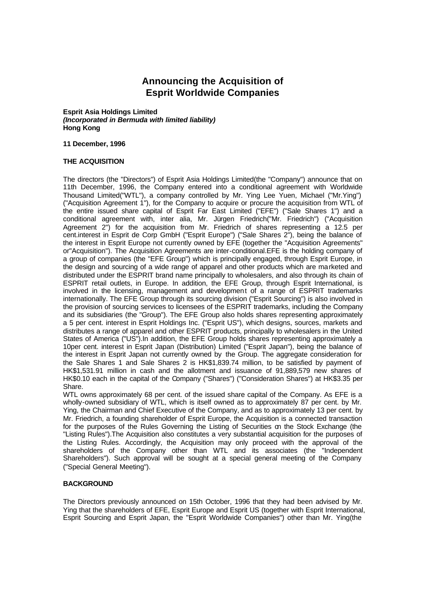# **Announcing the Acquisition of Esprit Worldwide Companies**

#### **Esprit Asia Holdings Limited** *(Incorporated in Bermuda with limited liability)* **Hong Kong**

#### **11 December, 1996**

#### **THE ACQUISITION**

The directors (the "Directors") of Esprit Asia Holdings Limited(the "Company") announce that on 11th December, 1996, the Company entered into a conditional agreement with Worldwide Thousand Limited("WTL"), a company controlled by Mr. Ying Lee Yuen, Michael ("Mr.Ying") ("Acquisition Agreement 1"), for the Company to acquire or procure the acquisition from WTL of the entire issued share capital of Esprit Far East Limited ("EFE") ("Sale Shares 1") and a conditional agreement with, inter alia, Mr. Jürgen Friedrich("Mr. Friedrich") ("Acquisition Agreement 2") for the acquisition from Mr. Friedrich of shares representing a 12.5 per cent.interest in Esprit de Corp GmbH ("Esprit Europe") ("Sale Shares 2"), being the balance of the interest in Esprit Europe not currently owned by EFE (together the "Acquisition Agreements" or"Acquisition"). The Acquisition Agreements are inter-conditional.EFE is the holding company of a group of companies (the "EFE Group") which is principally engaged, through Esprit Europe, in the design and sourcing of a wide range of apparel and other products which are marketed and distributed under the ESPRIT brand name principally to wholesalers, and also through its chain of ESPRIT retail outlets, in Europe. In addition, the EFE Group, through Esprit International, is involved in the licensing, management and development of a range of ESPRIT trademarks internationally. The EFE Group through its sourcing division ("Esprit Sourcing") is also involved in the provision of sourcing services to licensees of the ESPRIT trademarks, including the Company and its subsidiaries (the "Group"). The EFE Group also holds shares representing approximately a 5 per cent. interest in Esprit Holdings Inc. ("Esprit US"), which designs, sources, markets and distributes a range of apparel and other ESPRIT products, principally to wholesalers in the United States of America ("US").In addition, the EFE Group holds shares representing approximately a 10per cent. interest in Esprit Japan (Distribution) Limited ("Esprit Japan"), being the balance of the interest in Esprit Japan not currently owned by the Group. The aggregate consideration for the Sale Shares 1 and Sale Shares 2 is HK\$1,839.74 million, to be satisfied by payment of HK\$1,531.91 million in cash and the allotment and issuance of 91,889,579 new shares of HK\$0.10 each in the capital of the Company ("Shares") ("Consideration Shares") at HK\$3.35 per Share.

WTL owns approximately 68 per cent. of the issued share capital of the Company. As EFE is a wholly-owned subsidiary of WTL, which is itself owned as to approximately 87 per cent. by Mr. Ying, the Chairman and Chief Executive of the Company, and as to approximately 13 per cent. by Mr. Friedrich, a founding shareholder of Esprit Europe, the Acquisition is a connected transaction for the purposes of the Rules Governing the Listing of Securities on the Stock Exchange (the "Listing Rules").The Acquisition also constitutes a very substantial acquisition for the purposes of the Listing Rules. Accordingly, the Acquisition may only proceed with the approval of the shareholders of the Company other than WTL and its associates (the "Independent Shareholders"). Such approval will be sought at a special general meeting of the Company ("Special General Meeting").

#### **BACKGROUND**

The Directors previously announced on 15th October, 1996 that they had been advised by Mr. Ying that the shareholders of EFE, Esprit Europe and Esprit US (together with Esprit International, Esprit Sourcing and Esprit Japan, the "Esprit Worldwide Companies") other than Mr. Ying(the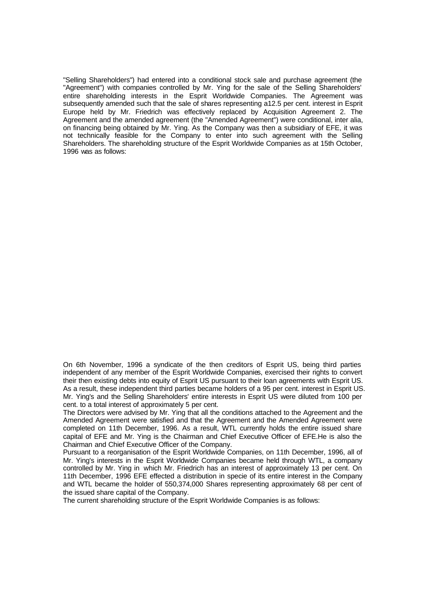"Selling Shareholders") had entered into a conditional stock sale and purchase agreement (the "Agreement") with companies controlled by Mr. Ying for the sale of the Selling Shareholders' entire shareholding interests in the Esprit Worldwide Companies. The Agreement was subsequently amended such that the sale of shares representing a12.5 per cent. interest in Esprit Europe held by Mr. Friedrich was effectively replaced by Acquisition Agreement 2. The Agreement and the amended agreement (the "Amended Agreement") were conditional, inter alia, on financing being obtained by Mr. Ying. As the Company was then a subsidiary of EFE, it was not technically feasible for the Company to enter into such agreement with the Selling Shareholders. The shareholding structure of the Esprit Worldwide Companies as at 15th October, 1996 was as follows:

On 6th November, 1996 a syndicate of the then creditors of Esprit US, being third parties independent of any member of the Esprit Worldwide Companies, exercised their rights to convert their then existing debts into equity of Esprit US pursuant to their loan agreements with Esprit US. As a result, these independent third parties became holders of a 95 per cent. interest in Esprit US. Mr. Ying's and the Selling Shareholders' entire interests in Esprit US were diluted from 100 per cent. to a total interest of approximately 5 per cent.

The Directors were advised by Mr. Ying that all the conditions attached to the Agreement and the Amended Agreement were satisfied and that the Agreement and the Amended Agreement were completed on 11th December, 1996. As a result, WTL currently holds the entire issued share capital of EFE and Mr. Ying is the Chairman and Chief Executive Officer of EFE.He is also the Chairman and Chief Executive Officer of the Company.

Pursuant to a reorganisation of the Esprit Worldwide Companies, on 11th December, 1996, all of Mr. Ying's interests in the Esprit Worldwide Companies became held through WTL, a company controlled by Mr. Ying in which Mr. Friedrich has an interest of approximately 13 per cent. On 11th December, 1996 EFE effected a distribution in specie of its entire interest in the Company and WTL became the holder of 550,374,000 Shares representing approximately 68 per cent of the issued share capital of the Company.

The current shareholding structure of the Esprit Worldwide Companies is as follows: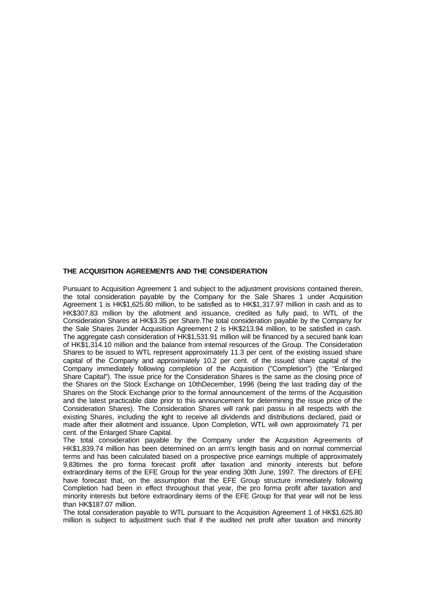## **THE ACQUISITION AGREEMENTS AND THE CONSIDERATION**

Pursuant to Acquisition Agreement 1 and subject to the adjustment provisions contained therein, the total consideration payable by the Company for the Sale Shares 1 under Acquisition Agreement 1 is HK\$1,625.80 million, to be satisfied as to HK\$1,317.97 million in cash and as to HK\$307.83 million by the allotment and issuance, credited as fully paid, to WTL of the Consideration Shares at HK\$3.35 per Share.The total consideration payable by the Company for the Sale Shares 2under Acquisition Agreement 2 is HK\$213.94 million, to be satisfied in cash. The aggregate cash consideration of HK\$1,531.91 million will be financed by a secured bank loan of HK\$1,314.10 million and the balance from internal resources of the Group. The Consideration Shares to be issued to WTL represent approximately 11.3 per cent. of the existing issued share capital of the Company and approximately 10.2 per cent. of the issued share capital of the Company immediately following completion of the Acquisition ("Completion") (the "Enlarged Share Capital"). The issue price for the Consideration Shares is the same as the closing price of the Shares on the Stock Exchange on 10thDecember, 1996 (being the last trading day of the Shares on the Stock Exchange prior to the formal announcement of the terms of the Acquisition and the latest practicable date prior to this announcement for determining the issue price of the Consideration Shares). The Consideration Shares will rank pari passu in all respects with the existing Shares, including the right to receive all dividends and distributions declared, paid or made after their allotment and issuance. Upon Completion, WTL will own approximately 71 per cent. of the Enlarged Share Capital.

The total consideration payable by the Company under the Acquisition Agreements of HK\$1,839.74 million has been determined on an arm's length basis and on normal commercial terms and has been calculated based on a prospective price earnings multiple of approximately 9.83times the pro forma forecast profit after taxation and minority interests but before extraordinary items of the EFE Group for the year ending 30th June, 1997. The directors of EFE have forecast that, on the assumption that the EFE Group structure immediately following Completion had been in effect throughout that year, the pro forma profit after taxation and minority interests but before extraordinary items of the EFE Group for that year will not be less than HK\$187.07 million.

The total consideration payable to WTL pursuant to the Acquisition Agreement 1 of HK\$1,625.80 million is subject to adjustment such that if the audited net profit after taxation and minority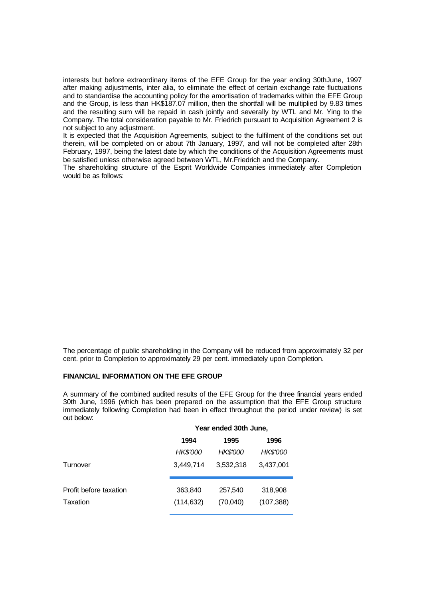interests but before extraordinary items of the EFE Group for the year ending 30thJune, 1997 after making adjustments, inter alia, to eliminate the effect of certain exchange rate fluctuations and to standardise the accounting policy for the amortisation of trademarks within the EFE Group and the Group, is less than HK\$187.07 million, then the shortfall will be multiplied by 9.83 times and the resulting sum will be repaid in cash jointly and severally by WTL and Mr. Ying to the Company. The total consideration payable to Mr. Friedrich pursuant to Acquisition Agreement 2 is not subject to any adjustment.

It is expected that the Acquisition Agreements, subject to the fulfilment of the conditions set out therein, will be completed on or about 7th January, 1997, and will not be completed after 28th February, 1997, being the latest date by which the conditions of the Acquisition Agreements must be satisfied unless otherwise agreed between WTL, Mr.Friedrich and the Company.

The shareholding structure of the Esprit Worldwide Companies immediately after Completion would be as follows:

The percentage of public shareholding in the Company will be reduced from approximately 32 per cent. prior to Completion to approximately 29 per cent. immediately upon Completion.

#### **FINANCIAL INFORMATION ON THE EFE GROUP**

A summary of the combined audited results of the EFE Group for the three financial years ended 30th June, 1996 (which has been prepared on the assumption that the EFE Group structure immediately following Completion had been in effect throughout the period under review) is set out below:

|                        |            | Year ended 30th June, |            |  |  |
|------------------------|------------|-----------------------|------------|--|--|
|                        | 1994       | 1995                  | 1996       |  |  |
|                        | HK\$'000   | <b>HK\$'000</b>       | HK\$'000   |  |  |
| Turnover               | 3,449,714  | 3,532,318             | 3,437,001  |  |  |
| Profit before taxation | 363,840    | 257,540               | 318,908    |  |  |
| Taxation               | (114, 632) | (70,040)              | (107, 388) |  |  |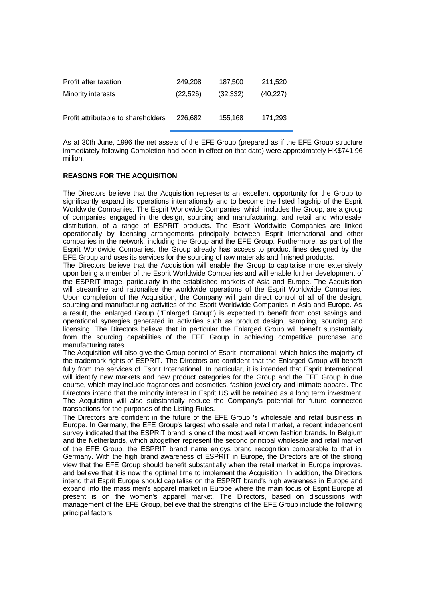| Profit after taxation               | 249,208  | 187,500   | 211,520   |
|-------------------------------------|----------|-----------|-----------|
| Minority interests                  | (22,526) | (32, 332) | (40, 227) |
|                                     |          |           |           |
| Profit attributable to shareholders | 226.682  | 155,168   | 171,293   |

As at 30th June, 1996 the net assets of the EFE Group (prepared as if the EFE Group structure immediately following Completion had been in effect on that date) were approximately HK\$741.96 million.

## **REASONS FOR THE ACQUISITION**

The Directors believe that the Acquisition represents an excellent opportunity for the Group to significantly expand its operations internationally and to become the listed flagship of the Esprit Worldwide Companies. The Esprit Worldwide Companies, which includes the Group, are a group of companies engaged in the design, sourcing and manufacturing, and retail and wholesale distribution, of a range of ESPRIT products. The Esprit Worldwide Companies are linked operationally by licensing arrangements principally between Esprit International and other companies in the network, including the Group and the EFE Group. Furthermore, as part of the Esprit Worldwide Companies, the Group already has access to product lines designed by the EFE Group and uses its services for the sourcing of raw materials and finished products.

The Directors believe that the Acquisition will enable the Group to capitalise more extensively upon being a member of the Esprit Worldwide Companies and will enable further development of the ESPRIT image, particularly in the established markets of Asia and Europe. The Acquisition will streamline and rationalise the worldwide operations of the Esprit Worldwide Companies. Upon completion of the Acquisition, the Company will gain direct control of all of the design, sourcing and manufacturing activities of the Esprit Worldwide Companies in Asia and Europe. As a result, the enlarged Group ("Enlarged Group") is expected to benefit from cost savings and operational synergies generated in activities such as product design, sampling, sourcing and licensing. The Directors believe that in particular the Enlarged Group will benefit substantially from the sourcing capabilities of the EFE Group in achieving competitive purchase and manufacturing rates.

The Acquisition will also give the Group control of Esprit International, which holds the majority of the trademark rights of ESPRIT. The Directors are confident that the Enlarged Group will benefit fully from the services of Esprit International. In particular, it is intended that Esprit International will identify new markets and new product categories for the Group and the EFE Group in due course, which may include fragrances and cosmetics, fashion jewellery and intimate apparel. The Directors intend that the minority interest in Esprit US will be retained as a long term investment. The Acquisition will also substantially reduce the Company's potential for future connected transactions for the purposes of the Listing Rules.

The Directors are confident in the future of the EFE Group 's wholesale and retail business in Europe. In Germany, the EFE Group's largest wholesale and retail market, a recent independent survey indicated that the ESPRIT brand is one of the most well known fashion brands. In Belgium and the Netherlands, which altogether represent the second principal wholesale and retail market of the EFE Group, the ESPRIT brand name enjoys brand recognition comparable to that in Germany. With the high brand awareness of ESPRIT in Europe, the Directors are of the strong view that the EFE Group should benefit substantially when the retail market in Europe improves, and believe that it is now the optimal time to implement the Acquisition. In addition, the Directors intend that Esprit Europe should capitalise on the ESPRIT brand's high awareness in Europe and expand into the mass men's apparel market in Europe where the main focus of Esprit Europe at present is on the women's apparel market. The Directors, based on discussions with management of the EFE Group, believe that the strengths of the EFE Group include the following principal factors: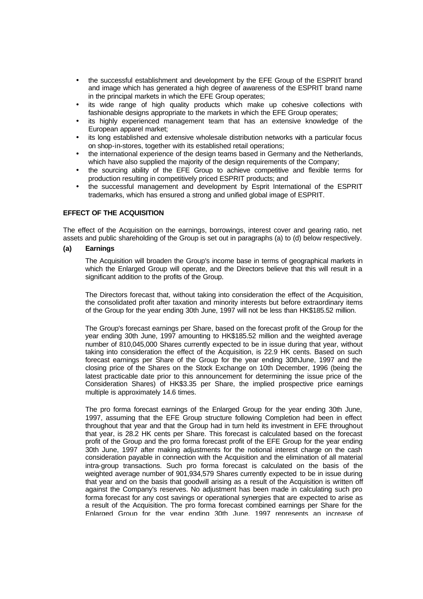- the successful establishment and development by the EFE Group of the ESPRIT brand and image which has generated a high degree of awareness of the ESPRIT brand name in the principal markets in which the EFE Group operates;
- its wide range of high quality products which make up cohesive collections with fashionable designs appropriate to the markets in which the EFE Group operates;
- its highly experienced management team that has an extensive knowledge of the European apparel market;
- its long established and extensive wholesale distribution networks with a particular focus on shop-in-stores, together with its established retail operations;
- the international experience of the design teams based in Germany and the Netherlands, which have also supplied the majority of the design requirements of the Company;
- the sourcing ability of the EFE Group to achieve competitive and flexible terms for production resulting in competitively priced ESPRIT products; and
- the successful management and development by Esprit International of the ESPRIT trademarks, which has ensured a strong and unified global image of ESPRIT.

#### **EFFECT OF THE ACQUISITION**

The effect of the Acquisition on the earnings, borrowings, interest cover and gearing ratio, net assets and public shareholding of the Group is set out in paragraphs (a) to (d) below respectively.

#### **(a) Earnings**

The Acquisition will broaden the Group's income base in terms of geographical markets in which the Enlarged Group will operate, and the Directors believe that this will result in a significant addition to the profits of the Group.

The Directors forecast that, without taking into consideration the effect of the Acquisition, the consolidated profit after taxation and minority interests but before extraordinary items of the Group for the year ending 30th June, 1997 will not be less than HK\$185.52 million.

The Group's forecast earnings per Share, based on the forecast profit of the Group for the year ending 30th June, 1997 amounting to HK\$185.52 million and the weighted average number of 810,045,000 Shares currently expected to be in issue during that year, without taking into consideration the effect of the Acquisition, is 22.9 HK cents. Based on such forecast earnings per Share of the Group for the year ending 30thJune, 1997 and the closing price of the Shares on the Stock Exchange on 10th December, 1996 (being the latest practicable date prior to this announcement for determining the issue price of the Consideration Shares) of HK\$3.35 per Share, the implied prospective price earnings multiple is approximately 14.6 times.

The pro forma forecast earnings of the Enlarged Group for the year ending 30th June, 1997, assuming that the EFE Group structure following Completion had been in effect throughout that year and that the Group had in turn held its investment in EFE throughout that year, is 28.2 HK cents per Share. This forecast is calculated based on the forecast profit of the Group and the pro forma forecast profit of the EFE Group for the year ending 30th June, 1997 after making adjustments for the notional interest charge on the cash consideration payable in connection with the Acquisition and the elimination of all material intra-group transactions. Such pro forma forecast is calculated on the basis of the weighted average number of 901,934,579 Shares currently expected to be in issue during that year and on the basis that goodwill arising as a result of the Acquisition is written off against the Company's reserves. No adjustment has been made in calculating such pro forma forecast for any cost savings or operational synergies that are expected to arise as a result of the Acquisition. The pro forma forecast combined earnings per Share for the Enlarged Group for the year ending 30th June, 1997 represents an increase of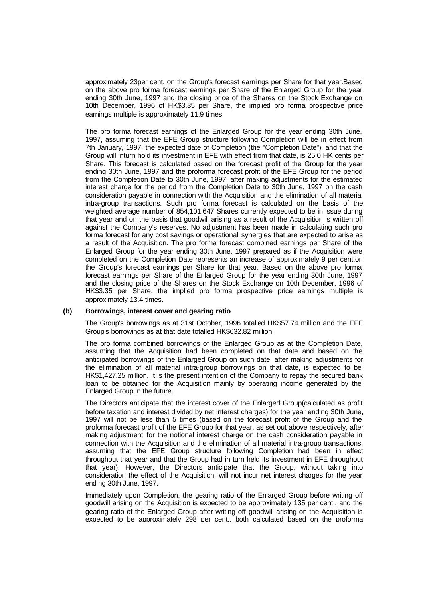approximately 23per cent. on the Group's forecast earnings per Share for that year.Based on the above pro forma forecast earnings per Share of the Enlarged Group for the year ending 30th June, 1997 and the closing price of the Shares on the Stock Exchange on 10th December, 1996 of HK\$3.35 per Share, the implied pro forma prospective price earnings multiple is approximately 11.9 times.

The pro forma forecast earnings of the Enlarged Group for the year ending 30th June, 1997, assuming that the EFE Group structure following Completion will be in effect from 7th January, 1997, the expected date of Completion (the "Completion Date"), and that the Group will inturn hold its investment in EFE with effect from that date, is 25.0 HK cents per Share. This forecast is calculated based on the forecast profit of the Group for the year ending 30th June, 1997 and the proforma forecast profit of the EFE Group for the period from the Completion Date to 30th June, 1997, after making adjustments for the estimated interest charge for the period from the Completion Date to 30th June, 1997 on the cash consideration payable in connection with the Acquisition and the elimination of all material intra-group transactions. Such pro forma forecast is calculated on the basis of the weighted average number of 854,101,647 Shares currently expected to be in issue during that year and on the basis that goodwill arising as a result of the Acquisition is written off against the Company's reserves. No adjustment has been made in calculating such pro forma forecast for any cost savings or operational synergies that are expected to arise as a result of the Acquisition. The pro forma forecast combined earnings per Share of the Enlarged Group for the year ending 30th June, 1997 prepared as if the Acquisition were completed on the Completion Date represents an increase of approximately 9 per cent.on the Group's forecast earnings per Share for that year. Based on the above pro forma forecast earnings per Share of the Enlarged Group for the year ending 30th June, 1997 and the closing price of the Shares on the Stock Exchange on 10th December, 1996 of HK\$3.35 per Share, the implied pro forma prospective price earnings multiple is approximately 13.4 times.

#### **(b) Borrowings, interest cover and gearing ratio**

The Group's borrowings as at 31st October, 1996 totalled HK\$57.74 million and the EFE Group's borrowings as at that date totalled HK\$632.82 million.

The pro forma combined borrowings of the Enlarged Group as at the Completion Date, assuming that the Acquisition had been completed on that date and based on the anticipated borrowings of the Enlarged Group on such date, after making adjustments for the elimination of all material intra-group borrowings on that date, is expected to be HK\$1,427.25 million. It is the present intention of the Company to repay the secured bank loan to be obtained for the Acquisition mainly by operating income generated by the Enlarged Group in the future.

The Directors anticipate that the interest cover of the Enlarged Group(calculated as profit before taxation and interest divided by net interest charges) for the year ending 30th June, 1997 will not be less than 5 times (based on the forecast profit of the Group and the proforma forecast profit of the EFE Group for that year, as set out above respectively, after making adjustment for the notional interest charge on the cash consideration payable in connection with the Acquisition and the elimination of all material intra-group transactions, assuming that the EFE Group structure following Completion had been in effect throughout that year and that the Group had in turn held its investment in EFE throughout that year). However, the Directors anticipate that the Group, without taking into consideration the effect of the Acquisition, will not incur net interest charges for the year ending 30th June, 1997.

Immediately upon Completion, the gearing ratio of the Enlarged Group before writing off goodwill arising on the Acquisition is expected to be approximately 135 per cent., and the gearing ratio of the Enlarged Group after writing off goodwill arising on the Acquisition is expected to be approximately 298 per cent., both calculated based on the proforma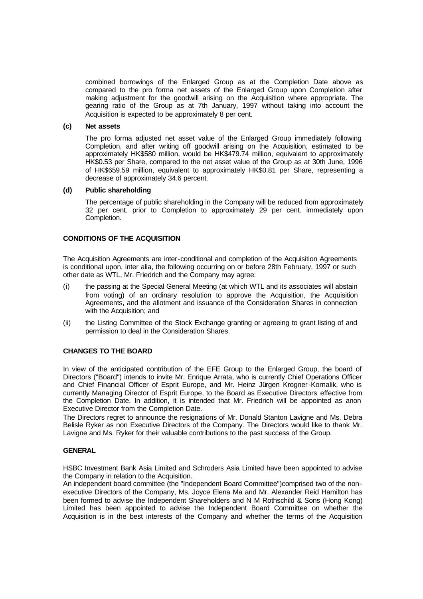combined borrowings of the Enlarged Group as at the Completion Date above as compared to the pro forma net assets of the Enlarged Group upon Completion after making adjustment for the goodwill arising on the Acquisition where appropriate. The gearing ratio of the Group as at 7th January, 1997 without taking into account the Acquisition is expected to be approximately 8 per cent.

#### **(c) Net assets**

The pro forma adjusted net asset value of the Enlarged Group immediately following Completion, and after writing off goodwill arising on the Acquisition, estimated to be approximately HK\$580 million, would be HK\$479.74 million, equivalent to approximately HK\$0.53 per Share, compared to the net asset value of the Group as at 30th June, 1996 of HK\$659.59 million, equivalent to approximately HK\$0.81 per Share, representing a decrease of approximately 34.6 percent.

#### **(d) Public shareholding**

The percentage of public shareholding in the Company will be reduced from approximately 32 per cent. prior to Completion to approximately 29 per cent. immediately upon Completion.

### **CONDITIONS OF THE ACQUISITION**

The Acquisition Agreements are inter-conditional and completion of the Acquisition Agreements is conditional upon, inter alia, the following occurring on or before 28th February, 1997 or such other date as WTL, Mr. Friedrich and the Company may agree:

- (i) the passing at the Special General Meeting (at which WTL and its associates will abstain from voting) of an ordinary resolution to approve the Acquisition, the Acquisition Agreements, and the allotment and issuance of the Consideration Shares in connection with the Acquisition; and
- (ii) the Listing Committee of the Stock Exchange granting or agreeing to grant listing of and permission to deal in the Consideration Shares.

#### **CHANGES TO THE BOARD**

In view of the anticipated contribution of the EFE Group to the Enlarged Group, the board of Directors ("Board") intends to invite Mr. Enrique Arrata, who is currently Chief Operations Officer and Chief Financial Officer of Esprit Europe, and Mr. Heinz Jürgen Krogner-Kornalik, who is currently Managing Director of Esprit Europe, to the Board as Executive Directors effective from the Completion Date. In addition, it is intended that Mr. Friedrich will be appointed as anon Executive Director from the Completion Date.

The Directors regret to announce the resignations of Mr. Donald Stanton Lavigne and Ms. Debra Belisle Ryker as non Executive Directors of the Company. The Directors would like to thank Mr. Lavigne and Ms. Ryker for their valuable contributions to the past success of the Group.

#### **GENERAL**

HSBC Investment Bank Asia Limited and Schroders Asia Limited have been appointed to advise the Company in relation to the Acquisition.

An independent board committee (the "Independent Board Committee")comprised two of the nonexecutive Directors of the Company, Ms. Joyce Elena Ma and Mr. Alexander Reid Hamilton has been formed to advise the Independent Shareholders and N M Rothschild & Sons (Hong Kong) Limited has been appointed to advise the Independent Board Committee on whether the Acquisition is in the best interests of the Company and whether the terms of the Acquisition